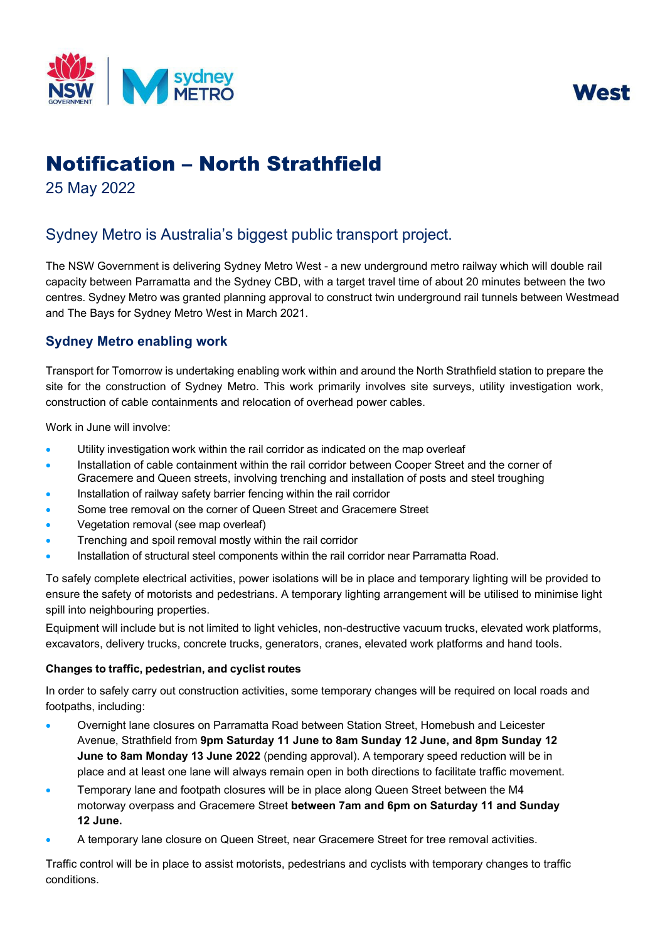



# Notification – North Strathfield

25 May 2022

# Sydney Metro is Australia's biggest public transport project.

The NSW Government is delivering Sydney Metro West - a new underground metro railway which will double rail capacity between Parramatta and the Sydney CBD, with a target travel time of about 20 minutes between the two centres. Sydney Metro was granted planning approval to construct twin underground rail tunnels between Westmead and The Bays for Sydney Metro West in March 2021.

## **Sydney Metro enabling work**

Transport for Tomorrow is undertaking enabling work within and around the North Strathfield station to prepare the site for the construction of Sydney Metro. This work primarily involves site surveys, utility investigation work, construction of cable containments and relocation of overhead power cables.

Work in June will involve:

- Utility investigation work within the rail corridor as indicated on the map overleaf
- Installation of cable containment within the rail corridor between Cooper Street and the corner of Gracemere and Queen streets, involving trenching and installation of posts and steel troughing
- Installation of railway safety barrier fencing within the rail corridor
- Some tree removal on the corner of Queen Street and Gracemere Street
- Vegetation removal (see map overleaf)
- Trenching and spoil removal mostly within the rail corridor
- Installation of structural steel components within the rail corridor near Parramatta Road.

To safely complete electrical activities, power isolations will be in place and temporary lighting will be provided to ensure the safety of motorists and pedestrians. A temporary lighting arrangement will be utilised to minimise light spill into neighbouring properties.

Equipment will include but is not limited to light vehicles, non-destructive vacuum trucks, elevated work platforms, excavators, delivery trucks, concrete trucks, generators, cranes, elevated work platforms and hand tools.

### **Changes to traffic, pedestrian, and cyclist routes**

In order to safely carry out construction activities, some temporary changes will be required on local roads and footpaths, including:

- Overnight lane closures on Parramatta Road between Station Street, Homebush and Leicester Avenue, Strathfield from **9pm Saturday 11 June to 8am Sunday 12 June, and 8pm Sunday 12 June to 8am Monday 13 June 2022** (pending approval). A temporary speed reduction will be in place and at least one lane will always remain open in both directions to facilitate traffic movement.
- Temporary lane and footpath closures will be in place along Queen Street between the M4 motorway overpass and Gracemere Street **between 7am and 6pm on Saturday 11 and Sunday 12 June.**
- A temporary lane closure on Queen Street, near Gracemere Street for tree removal activities.

Traffic control will be in place to assist motorists, pedestrians and cyclists with temporary changes to traffic conditions.